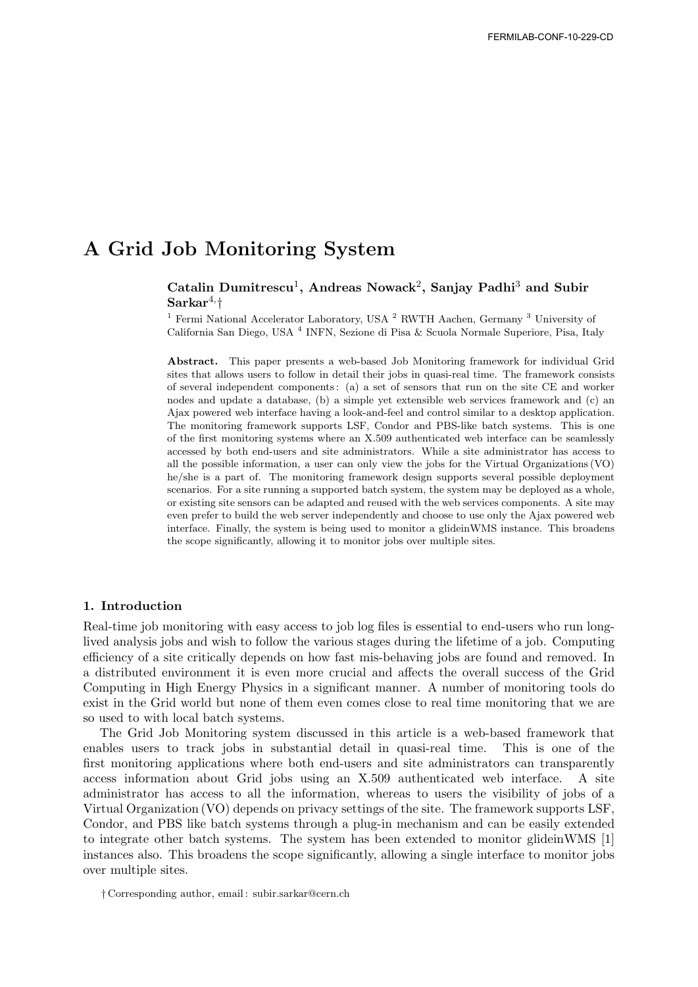# A Grid Job Monitoring System

# Catalin Dumitrescu<sup>1</sup>, Andreas Nowack<sup>2</sup>, Sanjay Padhi<sup>3</sup> and Subir  $\mathrm{Sarkar}^{4,\dagger}$

<sup>1</sup> Fermi National Accelerator Laboratory, USA  $^2$  RWTH Aachen, Germany  $^3$  University of California San Diego, USA <sup>4</sup> INFN, Sezione di Pisa & Scuola Normale Superiore, Pisa, Italy

Abstract. This paper presents a web-based Job Monitoring framework for individual Grid sites that allows users to follow in detail their jobs in quasi-real time. The framework consists of several independent components : (a) a set of sensors that run on the site CE and worker nodes and update a database, (b) a simple yet extensible web services framework and (c) an Ajax powered web interface having a look-and-feel and control similar to a desktop application. The monitoring framework supports LSF, Condor and PBS-like batch systems. This is one of the first monitoring systems where an X.509 authenticated web interface can be seamlessly accessed by both end-users and site administrators. While a site administrator has access to all the possible information, a user can only view the jobs for the Virtual Organizations (VO) he/she is a part of. The monitoring framework design supports several possible deployment scenarios. For a site running a supported batch system, the system may be deployed as a whole, or existing site sensors can be adapted and reused with the web services components. A site may even prefer to build the web server independently and choose to use only the Ajax powered web interface. Finally, the system is being used to monitor a glideinWMS instance. This broadens the scope significantly, allowing it to monitor jobs over multiple sites.

#### 1. Introduction

Real-time job monitoring with easy access to job log files is essential to end-users who run longlived analysis jobs and wish to follow the various stages during the lifetime of a job. Computing efficiency of a site critically depends on how fast mis-behaving jobs are found and removed. In a distributed environment it is even more crucial and affects the overall success of the Grid Computing in High Energy Physics in a significant manner. A number of monitoring tools do exist in the Grid world but none of them even comes close to real time monitoring that we are so used to with local batch systems.

The Grid Job Monitoring system discussed in this article is a web-based framework that enables users to track jobs in substantial detail in quasi-real time. This is one of the first monitoring applications where both end-users and site administrators can transparently access information about Grid jobs using an X.509 authenticated web interface. A site administrator has access to all the information, whereas to users the visibility of jobs of a Virtual Organization (VO) depends on privacy settings of the site. The framework supports LSF, Condor, and PBS like batch systems through a plug-in mechanism and can be easily extended to integrate other batch systems. The system has been extended to monitor glideinWMS [1] instances also. This broadens the scope significantly, allowing a single interface to monitor jobs over multiple sites.

<sup>†</sup> Corresponding author, email : subir.sarkar@cern.ch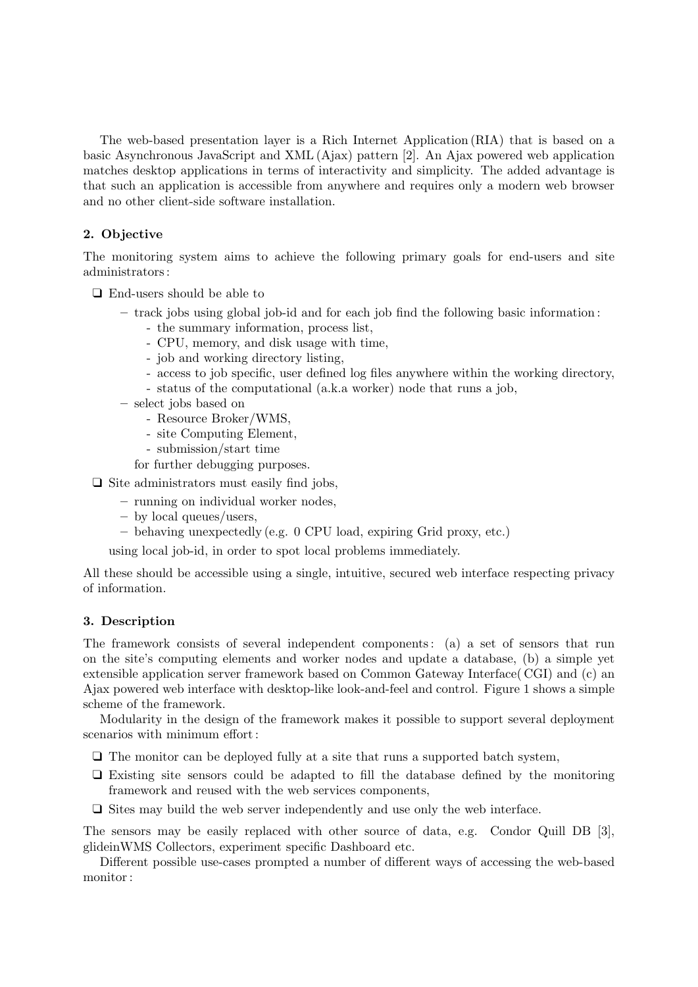The web-based presentation layer is a Rich Internet Application (RIA) that is based on a basic Asynchronous JavaScript and XML (Ajax) pattern [2]. An Ajax powered web application matches desktop applications in terms of interactivity and simplicity. The added advantage is that such an application is accessible from anywhere and requires only a modern web browser and no other client-side software installation.

# 2. Objective

The monitoring system aims to achieve the following primary goals for end-users and site administrators :

❑ End-users should be able to

- track jobs using global job-id and for each job find the following basic information :
	- the summary information, process list,
	- CPU, memory, and disk usage with time,
	- job and working directory listing,
	- access to job specific, user defined log files anywhere within the working directory,
	- status of the computational (a.k.a worker) node that runs a job,
- select jobs based on
	- Resource Broker/WMS,
	- site Computing Element,
	- submission/start time
	- for further debugging purposes.
- ❑ Site administrators must easily find jobs,
	- running on individual worker nodes,
	- by local queues/users,
	- behaving unexpectedly (e.g. 0 CPU load, expiring Grid proxy, etc.)

using local job-id, in order to spot local problems immediately.

All these should be accessible using a single, intuitive, secured web interface respecting privacy of information.

# 3. Description

The framework consists of several independent components : (a) a set of sensors that run on the site's computing elements and worker nodes and update a database, (b) a simple yet extensible application server framework based on Common Gateway Interface( CGI) and (c) an Ajax powered web interface with desktop-like look-and-feel and control. Figure 1 shows a simple scheme of the framework.

Modularity in the design of the framework makes it possible to support several deployment scenarios with minimum effort :

- ❑ The monitor can be deployed fully at a site that runs a supported batch system,
- ❑ Existing site sensors could be adapted to fill the database defined by the monitoring framework and reused with the web services components,
- ❑ Sites may build the web server independently and use only the web interface.

The sensors may be easily replaced with other source of data, e.g. Condor Quill DB [3], glideinWMS Collectors, experiment specific Dashboard etc.

Different possible use-cases prompted a number of different ways of accessing the web-based monitor :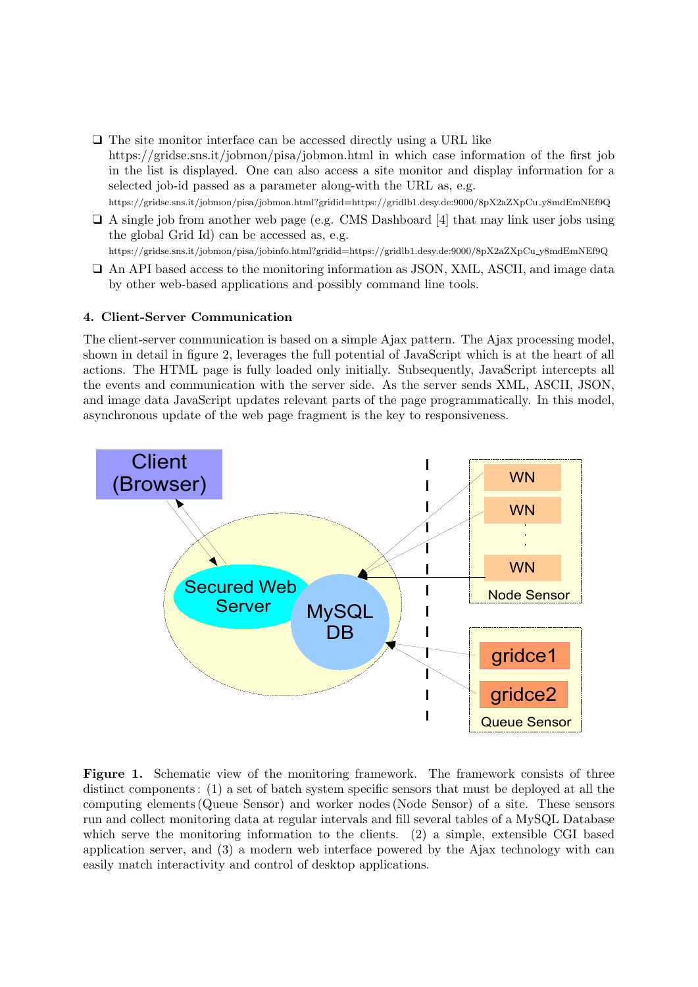- ❑ The site monitor interface can be accessed directly using a URL like https://gridse.sns.it/jobmon/pisa/jobmon.html in which case information of the first job in the list is displayed. One can also access a site monitor and display information for a selected job-id passed as a parameter along-with the URL as, e.g. https://gridse.sns.it/jobmon/pisa/jobmon.html?gridid=https://gridlb1.desy.de:9000/8pX2aZXpCu y8mdEmNEf9Q
- ❑ A single job from another web page (e.g. CMS Dashboard [4] that may link user jobs using the global Grid Id) can be accessed as, e.g. https://gridse.sns.it/jobmon/pisa/jobinfo.html?gridid=https://gridlb1.desy.de:9000/8pX2aZXpCu y8mdEmNEf9Q
- ❑ An API based access to the monitoring information as JSON, XML, ASCII, and image data by other web-based applications and possibly command line tools.

## 4. Client-Server Communication

The client-server communication is based on a simple Ajax pattern. The Ajax processing model, shown in detail in figure 2, leverages the full potential of JavaScript which is at the heart of all actions. The HTML page is fully loaded only initially. Subsequently, JavaScript intercepts all the events and communication with the server side. As the server sends XML, ASCII, JSON, and image data JavaScript updates relevant parts of the page programmatically. In this model, asynchronous update of the web page fragment is the key to responsiveness.



Figure 1. Schematic view of the monitoring framework. The framework consists of three distinct components : (1) a set of batch system specific sensors that must be deployed at all the computing elements (Queue Sensor) and worker nodes (Node Sensor) of a site. These sensors run and collect monitoring data at regular intervals and fill several tables of a MySQL Database which serve the monitoring information to the clients. (2) a simple, extensible CGI based application server, and (3) a modern web interface powered by the Ajax technology with can easily match interactivity and control of desktop applications.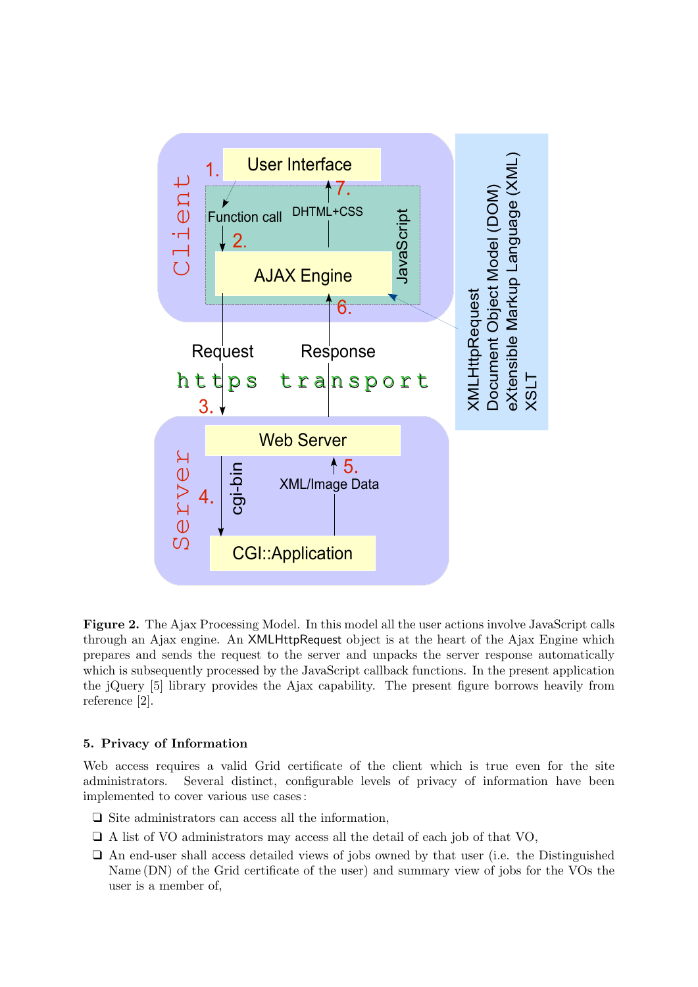

Figure 2. The Ajax Processing Model. In this model all the user actions involve JavaScript calls through an Ajax engine. An XMLHttpRequest object is at the heart of the Ajax Engine which prepares and sends the request to the server and unpacks the server response automatically which is subsequently processed by the JavaScript callback functions. In the present application the jQuery [5] library provides the Ajax capability. The present figure borrows heavily from reference [2].

## 5. Privacy of Information

Web access requires a valid Grid certificate of the client which is true even for the site administrators. Several distinct, configurable levels of privacy of information have been implemented to cover various use cases :

- ❑ Site administrators can access all the information,
- ❑ A list of VO administrators may access all the detail of each job of that VO,
- ❑ An end-user shall access detailed views of jobs owned by that user (i.e. the Distinguished Name (DN) of the Grid certificate of the user) and summary view of jobs for the VOs the user is a member of,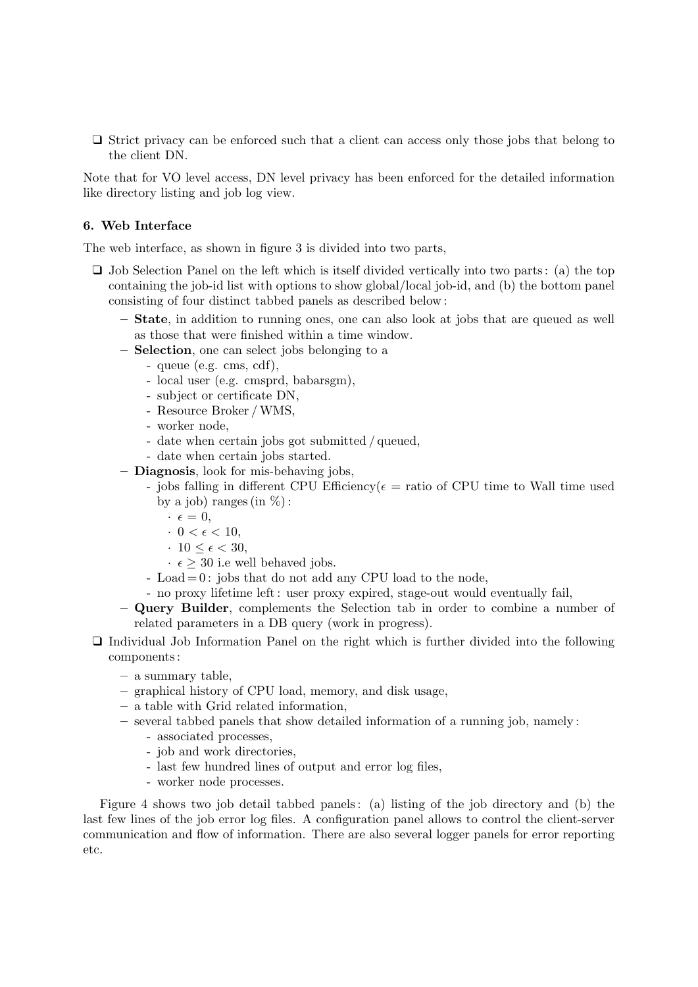❑ Strict privacy can be enforced such that a client can access only those jobs that belong to the client DN.

Note that for VO level access, DN level privacy has been enforced for the detailed information like directory listing and job log view.

#### 6. Web Interface

The web interface, as shown in figure 3 is divided into two parts,

- ❑ Job Selection Panel on the left which is itself divided vertically into two parts : (a) the top containing the job-id list with options to show global/local job-id, and (b) the bottom panel consisting of four distinct tabbed panels as described below :
	- State, in addition to running ones, one can also look at jobs that are queued as well as those that were finished within a time window.
	- Selection, one can select jobs belonging to a
		- queue (e.g. cms, cdf),
		- local user (e.g. cmsprd, babarsgm),
		- subject or certificate DN,
		- Resource Broker /WMS,
		- worker node,
		- date when certain jobs got submitted / queued,
		- date when certain jobs started.
	- Diagnosis, look for mis-behaving jobs,
		- jobs falling in different CPU Efficiency( $\epsilon$  = ratio of CPU time to Wall time used by a job) ranges (in  $\%$ ):
			- $\cdot \epsilon = 0,$
			- $\cdot$  0 <  $\epsilon$  < 10,
			- $\cdot$  10  $\leq \epsilon$   $<$  30,
			- $\cdot \epsilon$  > 30 i.e well behaved jobs.
		- Load  $= 0$ : jobs that do not add any CPU load to the node,
		- no proxy lifetime left : user proxy expired, stage-out would eventually fail,
	- Query Builder, complements the Selection tab in order to combine a number of related parameters in a DB query (work in progress).
- ❑ Individual Job Information Panel on the right which is further divided into the following components :
	- a summary table,
	- graphical history of CPU load, memory, and disk usage,
	- a table with Grid related information,
	- several tabbed panels that show detailed information of a running job, namely :
		- associated processes,
		- job and work directories,
		- last few hundred lines of output and error log files,
		- worker node processes.

Figure 4 shows two job detail tabbed panels : (a) listing of the job directory and (b) the last few lines of the job error log files. A configuration panel allows to control the client-server communication and flow of information. There are also several logger panels for error reporting etc.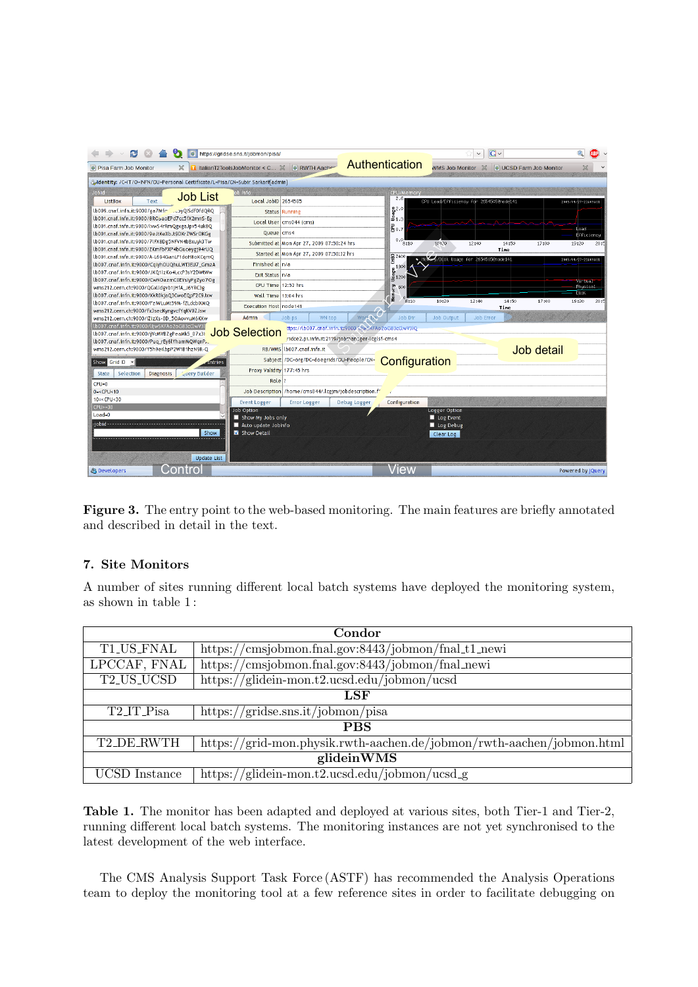| https://gridse.sns.it/jobmon/pisa/<br>lo                                                         |                                                          |                                                               | $\checkmark$                            | G                      |                     |
|--------------------------------------------------------------------------------------------------|----------------------------------------------------------|---------------------------------------------------------------|-----------------------------------------|------------------------|---------------------|
| <b>O</b> Pisa Farm Job Monitor                                                                   | RWTH Aache<br>ItalianT2ToolsJobMonitor < C X             | Authentication                                                | <b>WMS Job Monitor</b>                  | UCSD Farm Job Monitor  |                     |
| Adentity: /C=IT/O=INFN/OU=Personal Certificate/L=Pisa/CN=Subir Sarkar#[admin]                    |                                                          |                                                               |                                         |                        |                     |
| bidoL                                                                                            | ob Info                                                  | CPU/Memory                                                    |                                         |                        |                     |
| <b>Job List</b><br><b>ListBox</b><br>Text                                                        | Local JobID 2654505                                      | 2.6                                                           | CPU Load/Efficiency for 2654505@node141 |                        | 2009/04/27-21:09:01 |
| lb009.cnaf.infn.it:9000/ga7Mfr __ __ ayQISdF0fdQRQ                                               | <b>Status Running</b>                                    |                                                               |                                         |                        |                     |
| lb001.cnaf.infn.it:9000/8ROSaoEPd7cc5fX2mnS-Eg                                                   |                                                          | $\frac{8}{3}$ $\frac{2}{3}$ $\frac{0}{3}$ $\frac{1}{3}$       |                                         |                        |                     |
| lb001.cnaf.infn.it:9000/lvwS4rRmQgxgaJpv54uk8Q                                                   | Local User cms044 (cms)                                  | 롬0.7                                                          |                                         |                        | Load-               |
| lb001.cnaf.infn.it:9000/9eJtKeXbJt9DKrZWSrOKGg                                                   | Queue cms4                                               |                                                               |                                         |                        | Efficiency          |
| lb001.cnaf.infn.it:9000/7lFX8Dg5NFVN4bBxuyk3Tw                                                   | Submitted at Mon Apr 27, 2009 07:50:24 hrs               | 0.0<br>8:10                                                   | 10:20<br>12:40                          | 14:50<br>17:00         | 19:20<br>20:5       |
| lb001.cnaf.infn.it:9000/ZKmFbPXP4bGuceygi94rUQ                                                   | Started at Mon Apr 27, 2009 07:50:32 hrs                 |                                                               |                                         | Time                   |                     |
| lb001.cnaf.infn.it:9000/A-L694GanLF1doH8oKCgmO<br>lb007.cnaf.infn.it:9000/CqiyhOUQhuLWf3EU7_GmzA | Finished at n/a                                          | $\widehat{\mathbf{E}}^{2400}$                                 | Mens 4/Disk Usage for 2654505@node141   |                        | 2009/04/27-21:09:01 |
| lb007.cnaf.infn.it:9000/JKQ1lzKo4LccP3sY2DWtWw                                                   |                                                          |                                                               |                                         |                        |                     |
| lb007.cnaf.infn.it:9000/CwNOazmC0EYslyPgZyo7Og                                                   | Exit Status n/a                                          | $\begin{array}{l} 0.1800 \\ \frac{1}{2} \\ 1.200 \end{array}$ |                                         |                        | Virtual             |
| wms212.cern.ch:9000/QGxlldgvb1jHfA_J6YRC3g                                                       | CPU Time 12:52 hrs                                       | 600                                                           |                                         |                        | Physical            |
| lb007.cnaf.infn.it:9000/XkR0kjaQ3CwoEQpF2C9Jxw                                                   | Wall Time 13:04 hrs                                      | <b>Herory</b>                                                 |                                         |                        | Disk                |
| lb007.cnaf.infn.it:9000/FzIWLuMt59M-fZLdcbIXMO                                                   | Execution Host node141                                   | 8:10                                                          | 10:20<br>12:40                          | 14:50<br>17:00<br>Tine | 19:20<br>20:5       |
| wms212.cern.ch:9000/Fx3secKyngvcfYqKV0ZJsw                                                       |                                                          |                                                               |                                         |                        |                     |
| wms212.cern.ch:9000/IZizXs-0D 5OAovvuM6KXw<br>lb007.cnaf.infn.it:9000/lljwSKFAo2oG83cClwV3l      | Admin<br>Job ps<br>WN top                                | <b>Work Da</b><br>Job Dir                                     | Job Output<br>Job Error                 |                        |                     |
| lb007.cnaf.infn.it:9000/jVcMVBZgPeaMk5_07x3li                                                    | <b>Job Selection</b>                                     | ttps://lb007.cnaf.infn.it:9000/l.iwSXFAo2oG83cClwV3lQ         |                                         |                        |                     |
| lb007.cnaf.infn.it:9000/Pug rEy6lYhamMQWgnPA                                                     |                                                          | ridce2.pi.infn.it:2119/jobman :ger-lcglsf-cms4                |                                         |                        |                     |
| wms212.cern.ch:9000/Y5h9eilbpP2W1B1hzN9R-Q                                                       | RB/WMS Lb007.cnaf.infn.it                                |                                                               |                                         | Job detail             |                     |
| Show Grid ID<br>$\vert$<br>dintries                                                              | Subject /DC=org/DC=doegrids/OU=People/CN=                | Configuration                                                 |                                         |                        |                     |
| <b>Guery Builder</b><br>Selection<br><b>Diagnosis</b><br>State                                   | Proxy Validity 177:45 hrs                                |                                                               |                                         |                        |                     |
| $CPU=0$                                                                                          | Role <sup>1</sup> ?                                      |                                                               |                                         |                        |                     |
| $0 = <$ CPU $<$ 10                                                                               | Job Description /home/cms044/.lcgim/jobdescription.fr    |                                                               |                                         |                        |                     |
| $10 = <$ CPU $ <$ 30                                                                             |                                                          |                                                               |                                         |                        |                     |
| $CPU>=30$                                                                                        | <b>Event Logger</b><br><b>Error Logger</b><br>Job Option | Configuration<br>Debug Logger                                 | Logger Option                           |                        |                     |
| $Load = 0$                                                                                       | Show My Jobs only                                        |                                                               | Log Event                               |                        |                     |
| iobid----                                                                                        | Auto update Jobinfo                                      |                                                               | Log Debug                               |                        |                     |
| Show                                                                                             | Show Detail                                              |                                                               | Clear Log                               |                        |                     |
|                                                                                                  |                                                          |                                                               |                                         |                        |                     |
|                                                                                                  |                                                          |                                                               |                                         |                        |                     |
| <b>Update List</b>                                                                               |                                                          |                                                               |                                         |                        |                     |
| Control<br><sup>2</sup> B Developers                                                             |                                                          | View                                                          |                                         |                        | Powered by jQuery   |

Figure 3. The entry point to the web-based monitoring. The main features are briefly annotated and described in detail in the text.

# 7. Site Monitors

A number of sites running different local batch systems have deployed the monitoring system, as shown in table 1 :

| Condor        |                                                                       |  |
|---------------|-----------------------------------------------------------------------|--|
| T1_US_FNAL    | https://cmsjobmon.fnal.gov:8443/jobmon/fnal_t1_newi                   |  |
| LPCCAF, FNAL  | https://cmsjobmon.fnal.gov:8443/jobmon/fnal_newi                      |  |
| T2_US_UCSD    | https://glidein-mon.t2.ucsd.edu/jobmon/ucsd                           |  |
| LSF           |                                                                       |  |
| T2_IT_Pisa    | https://gridse.sns.it/jobmon/pisa                                     |  |
| <b>PBS</b>    |                                                                       |  |
| T2_DE_RWTH    | https://grid-mon.physik.rwth-aachen.de/jobmon/rwth-aachen/jobmon.html |  |
| glideinWMS    |                                                                       |  |
| UCSD Instance | https://glidein-mon.t2.ucsd.edu/jobmon/ucsd_g                         |  |

Table 1. The monitor has been adapted and deployed at various sites, both Tier-1 and Tier-2, running different local batch systems. The monitoring instances are not yet synchronised to the latest development of the web interface.

The CMS Analysis Support Task Force (ASTF) has recommended the Analysis Operations team to deploy the monitoring tool at a few reference sites in order to facilitate debugging on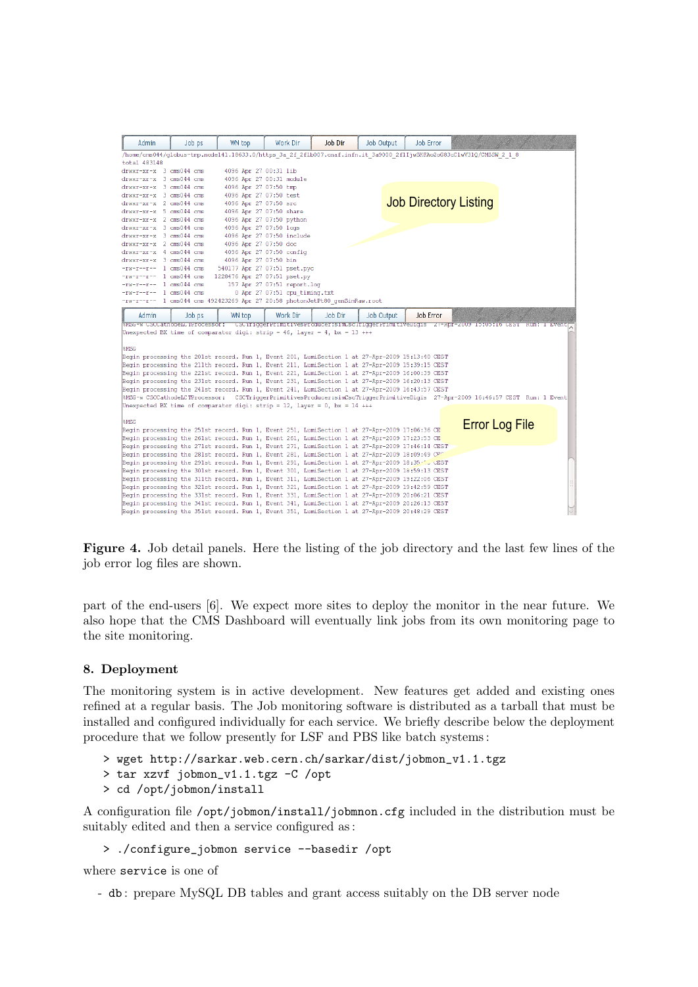

Figure 4. Job detail panels. Here the listing of the job directory and the last few lines of the job error log files are shown.

part of the end-users [6]. We expect more sites to deploy the monitor in the near future. We also hope that the CMS Dashboard will eventually link jobs from its own monitoring page to the site monitoring.

## 8. Deployment

The monitoring system is in active development. New features get added and existing ones refined at a regular basis. The Job monitoring software is distributed as a tarball that must be installed and configured individually for each service. We briefly describe below the deployment procedure that we follow presently for LSF and PBS like batch systems :

- > wget http://sarkar.web.cern.ch/sarkar/dist/jobmon\_v1.1.tgz
- > tar xzvf jobmon\_v1.1.tgz -C /opt
- > cd /opt/jobmon/install

A configuration file /opt/jobmon/install/jobmnon.cfg included in the distribution must be suitably edited and then a service configured as :

```
> ./configure_jobmon service --basedir /opt
```
where service is one of

- db : prepare MySQL DB tables and grant access suitably on the DB server node